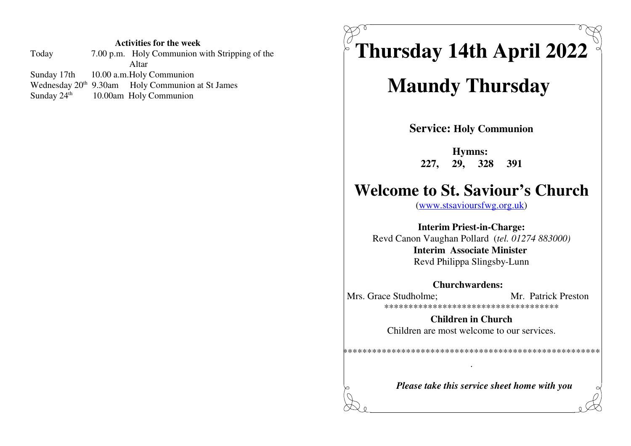#### **Activities for the week**

| 7.00 p.m. Holy Communion with Stripping of the               |
|--------------------------------------------------------------|
| Altar                                                        |
| Sunday 17th 10.00 a.m. Holy Communion                        |
| Wednesday 20 <sup>th</sup> 9.30am Holy Communion at St James |
| Sunday $24th$ 10.00am Holy Communion                         |
|                                                              |

**Thursday 14th April 2022**

# **Maundy Thursday**

**Service: Holy Communion**

**Hymns: 227, 29, 328 391**

## **Welcome to St. Saviour's Church**

(www.stsavioursfwg.org.uk)

**Interim Priest-in-Charge:** Revd Canon Vaughan Pollard (*tel. 01274 883000)* **Interim Associate Minister** Revd Philippa Slingsby-Lunn

**Churchwardens:** Mrs. Grace Studholme: Mr. Patrick Preston \*\*\*\*\*\*\*\*\*\*\*\*\*\*\*\*\*\*\*\*\*\*\*\*\*\*\*\*\*\*\*\*\*\*\*\*

> **Children in Church**Children are most welcome to our services.

\*\*\*\*\*\*\*\*\*\*\*\*\*\*\*\*\*\*\*\*\*\*\*\*\*\*\*\*\*\*\*\*\*\*\*\*\*\*\*\*\*\*\*\*\*\*\*\*\*\*\*\*\*

*Please take this service sheet home with you*